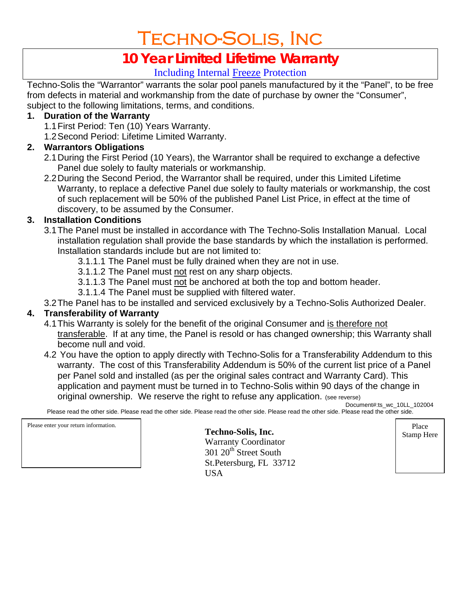# Techno-Solis, Inc

# **10 Year Limited Lifetime Warranty**

# Including Internal Freeze Protection

Techno-Solis the "Warrantor" warrants the solar pool panels manufactured by it the "Panel", to be free from defects in material and workmanship from the date of purchase by owner the "Consumer", subject to the following limitations, terms, and conditions.

#### **1. Duration of the Warranty**

- 1.1 First Period: Ten (10) Years Warranty.
- 1.2 Second Period: Lifetime Limited Warranty.

# **2. Warrantors Obligations**

- 2.1 During the First Period (10 Years), the Warrantor shall be required to exchange a defective Panel due solely to faulty materials or workmanship.
- 2.2 During the Second Period, the Warrantor shall be required, under this Limited Lifetime Warranty, to replace a defective Panel due solely to faulty materials or workmanship, the cost of such replacement will be 50% of the published Panel List Price, in effect at the time of discovery, to be assumed by the Consumer.

## **3. Installation Conditions**

- 3.1 The Panel must be installed in accordance with The Techno-Solis Installation Manual. Local installation regulation shall provide the base standards by which the installation is performed. Installation standards include but are not limited to:
	- 3.1.1.1 The Panel must be fully drained when they are not in use.
	- 3.1.1.2 The Panel must not rest on any sharp objects.
	- 3.1.1.3 The Panel must not be anchored at both the top and bottom header.
	- 3.1.1.4 The Panel must be supplied with filtered water.
- 3.2 The Panel has to be installed and serviced exclusively by a Techno-Solis Authorized Dealer.

## **4. Transferability of Warranty**

- 4.1 This Warranty is solely for the benefit of the original Consumer and is therefore not transferable. If at any time, the Panel is resold or has changed ownership; this Warranty shall become null and void.
- 4.2 You have the option to apply directly with Techno-Solis for a Transferability Addendum to this warranty. The cost of this Transferability Addendum is 50% of the current list price of a Panel per Panel sold and installed (as per the original sales contract and Warranty Card). This application and payment must be turned in to Techno-Solis within 90 days of the change in original ownership. We reserve the right to refuse any application. (see reverse) Document#:ts\_wc\_10LL\_102004

Please read the other side. Please read the other side. Please read the other side. Please read the other side. Please read the other side.

Please enter your return information. **Place Techno-Solis, Inc.** Place **Solis, Inc.** Place **Stamp Here Stamp Here Stamp Here Stamp Here Stamp Here Stamp Here Stamp Here Stamp Here Stamp Here Stamp Assam** 

Warranty Coordinator 301 20<sup>th</sup> Street South St.Petersburg, FL 33712 **USA**